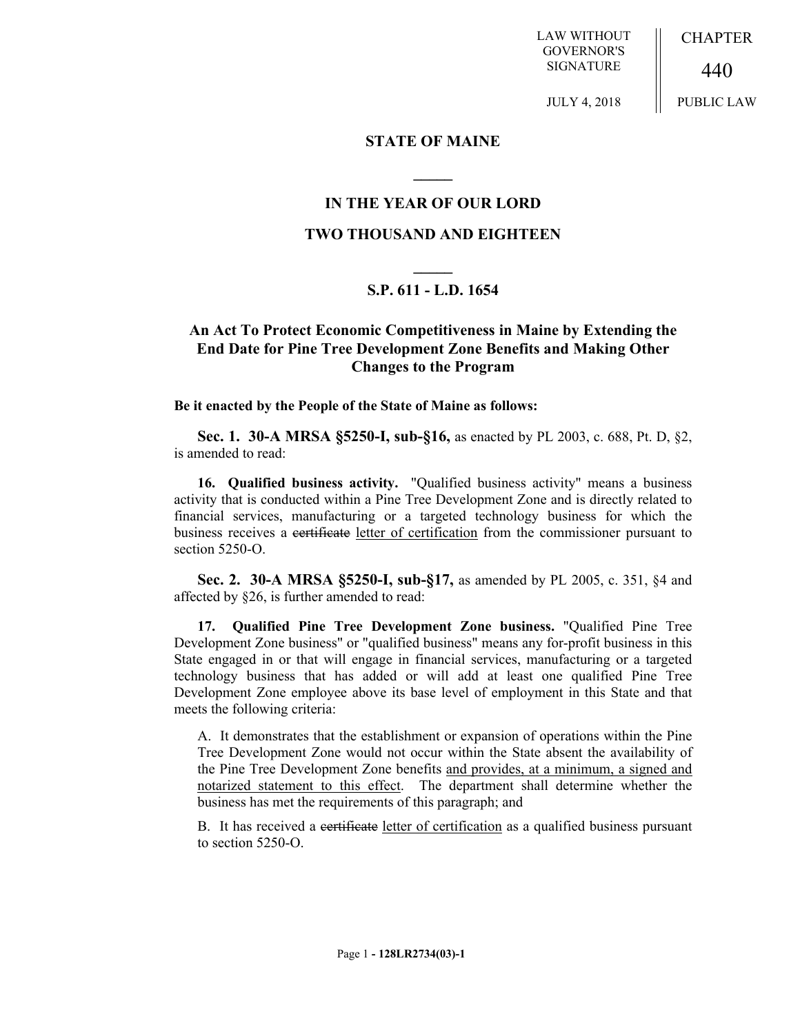LAW WITHOUT GOVERNOR'S SIGNATURE

JULY 4, 2018

CHAPTER

440

PUBLIC LAW

## **STATE OF MAINE**

# **IN THE YEAR OF OUR LORD**

**\_\_\_\_\_**

## **TWO THOUSAND AND EIGHTEEN**

# **\_\_\_\_\_ S.P. 611 - L.D. 1654**

# **An Act To Protect Economic Competitiveness in Maine by Extending the End Date for Pine Tree Development Zone Benefits and Making Other Changes to the Program**

#### **Be it enacted by the People of the State of Maine as follows:**

**Sec. 1. 30-A MRSA §5250-I, sub-§16,** as enacted by PL 2003, c. 688, Pt. D, §2, is amended to read:

**16. Qualified business activity.** "Qualified business activity" means a business activity that is conducted within a Pine Tree Development Zone and is directly related to financial services, manufacturing or a targeted technology business for which the business receives a certificate letter of certification from the commissioner pursuant to section 5250-O.

**Sec. 2. 30-A MRSA §5250-I, sub-§17,** as amended by PL 2005, c. 351, §4 and affected by §26, is further amended to read:

**17. Qualified Pine Tree Development Zone business.** "Qualified Pine Tree Development Zone business" or "qualified business" means any for-profit business in this State engaged in or that will engage in financial services, manufacturing or a targeted technology business that has added or will add at least one qualified Pine Tree Development Zone employee above its base level of employment in this State and that meets the following criteria:

A. It demonstrates that the establishment or expansion of operations within the Pine Tree Development Zone would not occur within the State absent the availability of the Pine Tree Development Zone benefits and provides, at a minimum, a signed and notarized statement to this effect. The department shall determine whether the business has met the requirements of this paragraph; and

B. It has received a certificate letter of certification as a qualified business pursuant to section 5250-O.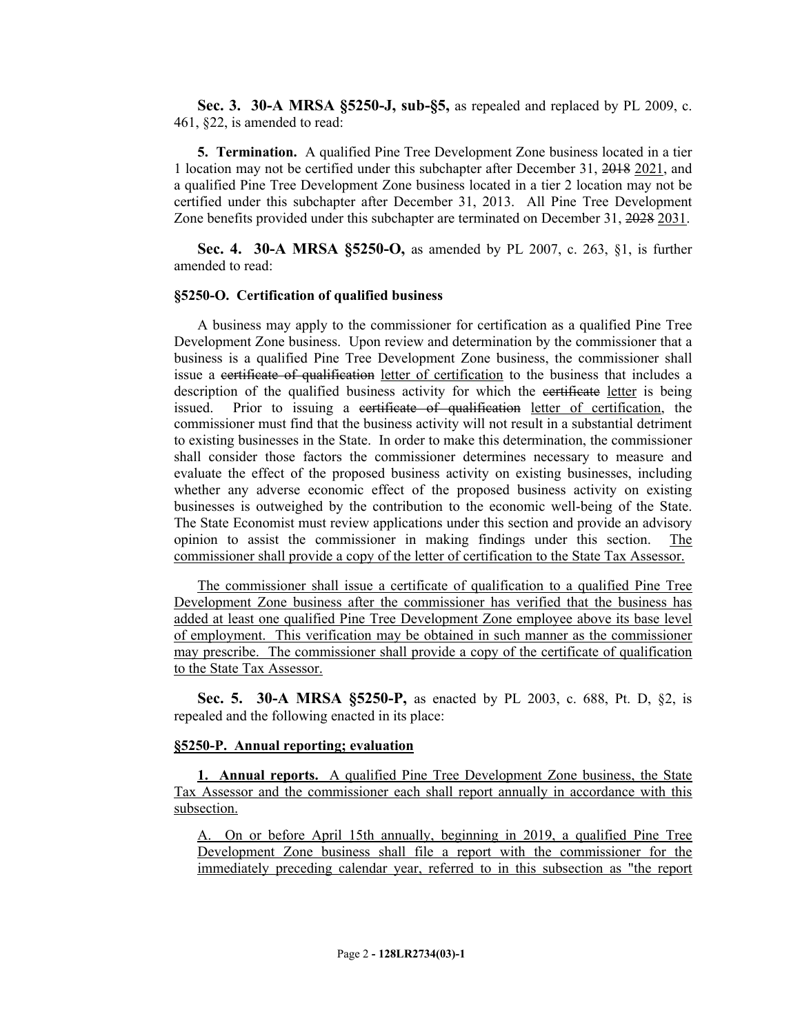**Sec. 3. 30-A MRSA §5250-J, sub-§5,** as repealed and replaced by PL 2009, c. 461, §22, is amended to read:

**5. Termination.** A qualified Pine Tree Development Zone business located in a tier 1 location may not be certified under this subchapter after December 31, 2018 2021, and a qualified Pine Tree Development Zone business located in a tier 2 location may not be certified under this subchapter after December 31, 2013. All Pine Tree Development Zone benefits provided under this subchapter are terminated on December 31, 2028 2031.

**Sec. 4. 30-A MRSA §5250-O,** as amended by PL 2007, c. 263, §1, is further amended to read:

#### **§5250-O. Certification of qualified business**

A business may apply to the commissioner for certification as a qualified Pine Tree Development Zone business. Upon review and determination by the commissioner that a business is a qualified Pine Tree Development Zone business, the commissioner shall issue a certificate of qualification letter of certification to the business that includes a description of the qualified business activity for which the certificate letter is being issued. Prior to issuing a certificate of qualification letter of certification, the commissioner must find that the business activity will not result in a substantial detriment to existing businesses in the State. In order to make this determination, the commissioner shall consider those factors the commissioner determines necessary to measure and evaluate the effect of the proposed business activity on existing businesses, including whether any adverse economic effect of the proposed business activity on existing businesses is outweighed by the contribution to the economic well-being of the State. The State Economist must review applications under this section and provide an advisory opinion to assist the commissioner in making findings under this section. The commissioner shall provide a copy of the letter of certification to the State Tax Assessor.

The commissioner shall issue a certificate of qualification to a qualified Pine Tree Development Zone business after the commissioner has verified that the business has added at least one qualified Pine Tree Development Zone employee above its base level of employment. This verification may be obtained in such manner as the commissioner may prescribe. The commissioner shall provide a copy of the certificate of qualification to the State Tax Assessor.

**Sec. 5. 30-A MRSA §5250-P,** as enacted by PL 2003, c. 688, Pt. D, §2, is repealed and the following enacted in its place:

### **§5250-P. Annual reporting; evaluation**

**1. Annual reports.** A qualified Pine Tree Development Zone business, the State Tax Assessor and the commissioner each shall report annually in accordance with this subsection.

A. On or before April 15th annually, beginning in 2019, a qualified Pine Tree Development Zone business shall file a report with the commissioner for the immediately preceding calendar year, referred to in this subsection as "the report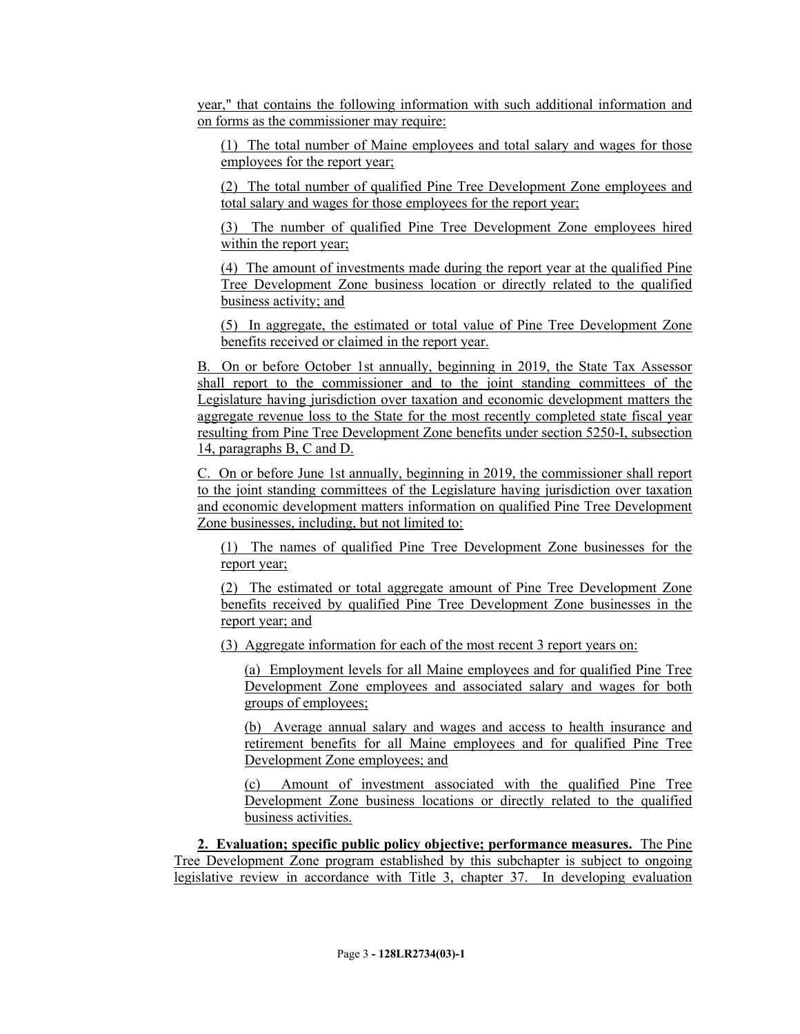year," that contains the following information with such additional information and on forms as the commissioner may require:

(1) The total number of Maine employees and total salary and wages for those employees for the report year;

(2) The total number of qualified Pine Tree Development Zone employees and total salary and wages for those employees for the report year;

(3) The number of qualified Pine Tree Development Zone employees hired within the report year;

(4) The amount of investments made during the report year at the qualified Pine Tree Development Zone business location or directly related to the qualified business activity; and

(5) In aggregate, the estimated or total value of Pine Tree Development Zone benefits received or claimed in the report year.

B. On or before October 1st annually, beginning in 2019, the State Tax Assessor shall report to the commissioner and to the joint standing committees of the Legislature having jurisdiction over taxation and economic development matters the aggregate revenue loss to the State for the most recently completed state fiscal year resulting from Pine Tree Development Zone benefits under section 5250-I, subsection 14, paragraphs B, C and D.

C. On or before June 1st annually, beginning in 2019, the commissioner shall report to the joint standing committees of the Legislature having jurisdiction over taxation and economic development matters information on qualified Pine Tree Development Zone businesses, including, but not limited to:

(1) The names of qualified Pine Tree Development Zone businesses for the report year;

(2) The estimated or total aggregate amount of Pine Tree Development Zone benefits received by qualified Pine Tree Development Zone businesses in the report year; and

(3) Aggregate information for each of the most recent 3 report years on:

(a) Employment levels for all Maine employees and for qualified Pine Tree Development Zone employees and associated salary and wages for both groups of employees;

(b) Average annual salary and wages and access to health insurance and retirement benefits for all Maine employees and for qualified Pine Tree Development Zone employees; and

(c) Amount of investment associated with the qualified Pine Tree Development Zone business locations or directly related to the qualified business activities.

**2. Evaluation; specific public policy objective; performance measures.** The Pine Tree Development Zone program established by this subchapter is subject to ongoing legislative review in accordance with Title 3, chapter 37. In developing evaluation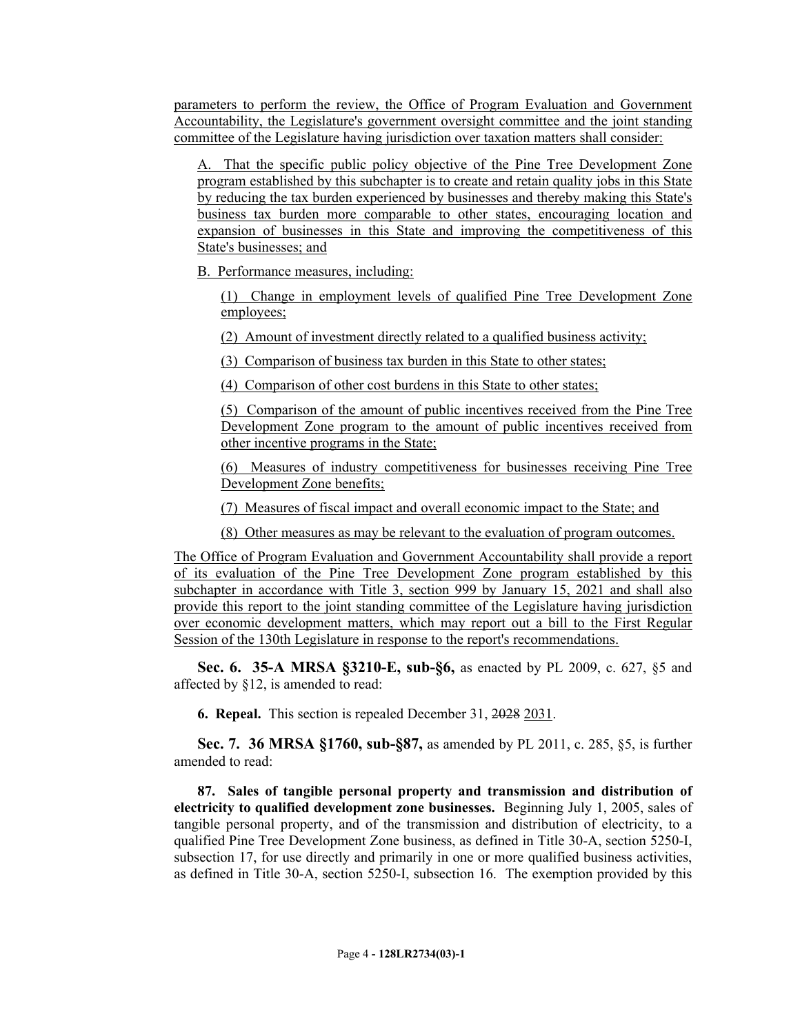parameters to perform the review, the Office of Program Evaluation and Government Accountability, the Legislature's government oversight committee and the joint standing committee of the Legislature having jurisdiction over taxation matters shall consider:

A. That the specific public policy objective of the Pine Tree Development Zone program established by this subchapter is to create and retain quality jobs in this State by reducing the tax burden experienced by businesses and thereby making this State's business tax burden more comparable to other states, encouraging location and expansion of businesses in this State and improving the competitiveness of this State's businesses; and

B. Performance measures, including:

(1) Change in employment levels of qualified Pine Tree Development Zone employees;

(2) Amount of investment directly related to a qualified business activity;

(3) Comparison of business tax burden in this State to other states;

(4) Comparison of other cost burdens in this State to other states;

(5) Comparison of the amount of public incentives received from the Pine Tree Development Zone program to the amount of public incentives received from other incentive programs in the State;

(6) Measures of industry competitiveness for businesses receiving Pine Tree Development Zone benefits;

(7) Measures of fiscal impact and overall economic impact to the State; and

(8) Other measures as may be relevant to the evaluation of program outcomes.

The Office of Program Evaluation and Government Accountability shall provide a report of its evaluation of the Pine Tree Development Zone program established by this subchapter in accordance with Title 3, section 999 by January 15, 2021 and shall also provide this report to the joint standing committee of the Legislature having jurisdiction over economic development matters, which may report out a bill to the First Regular Session of the 130th Legislature in response to the report's recommendations.

**Sec. 6. 35-A MRSA §3210-E, sub-§6,** as enacted by PL 2009, c. 627, §5 and affected by §12, is amended to read:

**6. Repeal.** This section is repealed December 31, 2028 2031.

**Sec. 7. 36 MRSA §1760, sub-§87,** as amended by PL 2011, c. 285, §5, is further amended to read:

**87. Sales of tangible personal property and transmission and distribution of electricity to qualified development zone businesses.** Beginning July 1, 2005, sales of tangible personal property, and of the transmission and distribution of electricity, to a qualified Pine Tree Development Zone business, as defined in Title 30-A, section 5250-I, subsection 17, for use directly and primarily in one or more qualified business activities, as defined in Title 30-A, section 5250-I, subsection 16. The exemption provided by this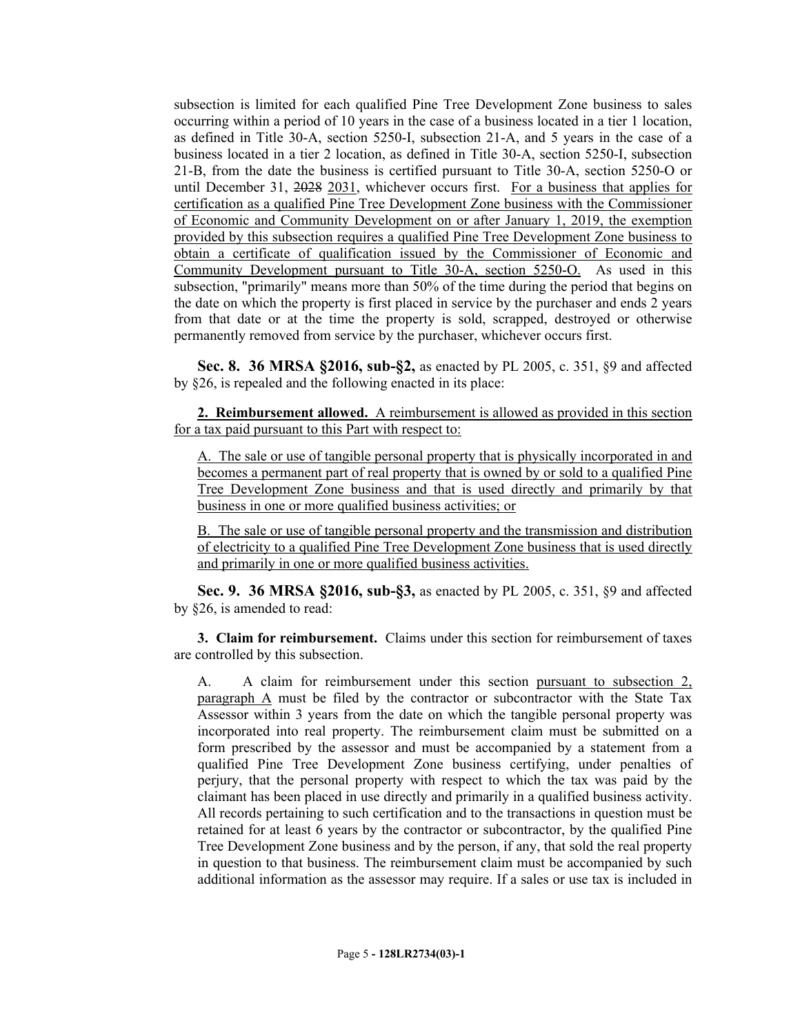subsection is limited for each qualified Pine Tree Development Zone business to sales occurring within a period of 10 years in the case of a business located in a tier 1 location, as defined in Title 30-A, section 5250-I, subsection 21-A, and 5 years in the case of a business located in a tier 2 location, as defined in Title 30-A, section 5250-I, subsection 21-B, from the date the business is certified pursuant to Title 30-A, section 5250-O or until December 31, 2028 2031, whichever occurs first. For a business that applies for certification as a qualified Pine Tree Development Zone business with the Commissioner of Economic and Community Development on or after January 1, 2019, the exemption provided by this subsection requires a qualified Pine Tree Development Zone business to obtain a certificate of qualification issued by the Commissioner of Economic and Community Development pursuant to Title 30-A, section 5250-O. As used in this subsection, "primarily" means more than 50% of the time during the period that begins on the date on which the property is first placed in service by the purchaser and ends 2 years from that date or at the time the property is sold, scrapped, destroyed or otherwise permanently removed from service by the purchaser, whichever occurs first.

**Sec. 8. 36 MRSA §2016, sub-§2,** as enacted by PL 2005, c. 351, §9 and affected by §26, is repealed and the following enacted in its place:

**2. Reimbursement allowed.** A reimbursement is allowed as provided in this section for a tax paid pursuant to this Part with respect to:

A. The sale or use of tangible personal property that is physically incorporated in and becomes a permanent part of real property that is owned by or sold to a qualified Pine Tree Development Zone business and that is used directly and primarily by that business in one or more qualified business activities; or

B. The sale or use of tangible personal property and the transmission and distribution of electricity to a qualified Pine Tree Development Zone business that is used directly and primarily in one or more qualified business activities.

**Sec. 9. 36 MRSA §2016, sub-§3,** as enacted by PL 2005, c. 351, §9 and affected by §26, is amended to read:

**3. Claim for reimbursement.** Claims under this section for reimbursement of taxes are controlled by this subsection.

A. A claim for reimbursement under this section pursuant to subsection 2, paragraph A must be filed by the contractor or subcontractor with the State Tax Assessor within 3 years from the date on which the tangible personal property was incorporated into real property. The reimbursement claim must be submitted on a form prescribed by the assessor and must be accompanied by a statement from a qualified Pine Tree Development Zone business certifying, under penalties of perjury, that the personal property with respect to which the tax was paid by the claimant has been placed in use directly and primarily in a qualified business activity. All records pertaining to such certification and to the transactions in question must be retained for at least 6 years by the contractor or subcontractor, by the qualified Pine Tree Development Zone business and by the person, if any, that sold the real property in question to that business. The reimbursement claim must be accompanied by such additional information as the assessor may require. If a sales or use tax is included in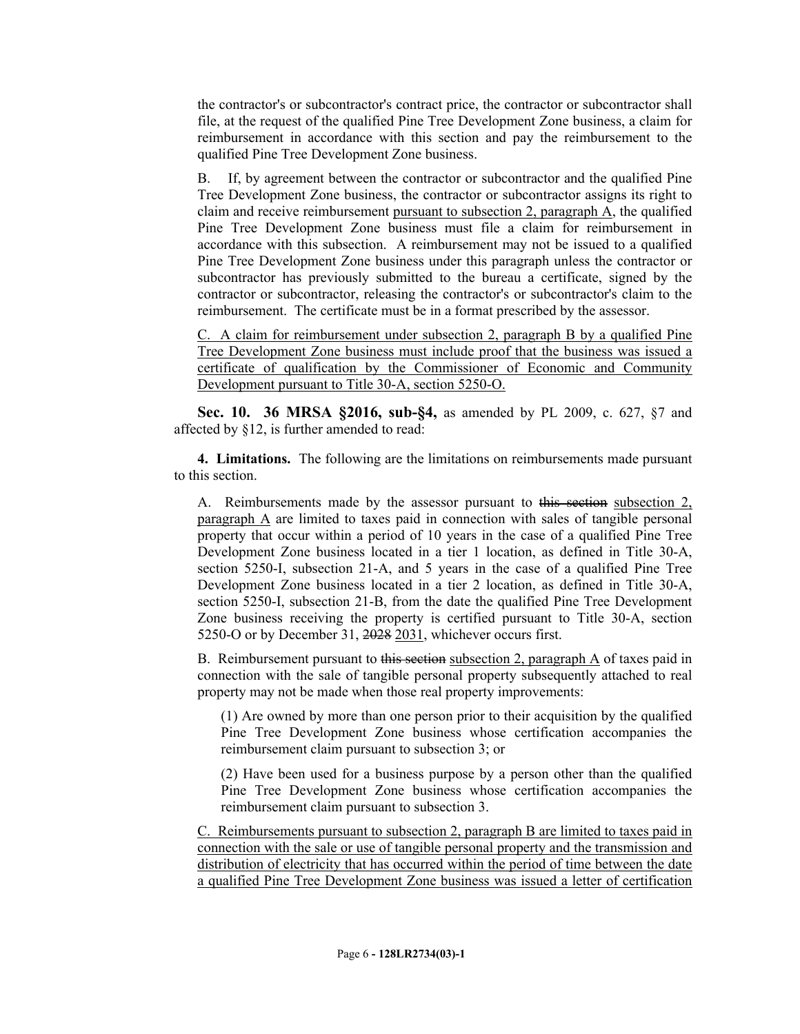the contractor's or subcontractor's contract price, the contractor or subcontractor shall file, at the request of the qualified Pine Tree Development Zone business, a claim for reimbursement in accordance with this section and pay the reimbursement to the qualified Pine Tree Development Zone business.

B. If, by agreement between the contractor or subcontractor and the qualified Pine Tree Development Zone business, the contractor or subcontractor assigns its right to claim and receive reimbursement pursuant to subsection 2, paragraph A, the qualified Pine Tree Development Zone business must file a claim for reimbursement in accordance with this subsection. A reimbursement may not be issued to a qualified Pine Tree Development Zone business under this paragraph unless the contractor or subcontractor has previously submitted to the bureau a certificate, signed by the contractor or subcontractor, releasing the contractor's or subcontractor's claim to the reimbursement. The certificate must be in a format prescribed by the assessor.

C. A claim for reimbursement under subsection 2, paragraph B by a qualified Pine Tree Development Zone business must include proof that the business was issued a certificate of qualification by the Commissioner of Economic and Community Development pursuant to Title 30-A, section 5250-O.

**Sec. 10. 36 MRSA §2016, sub-§4,** as amended by PL 2009, c. 627, §7 and affected by §12, is further amended to read:

**4. Limitations.** The following are the limitations on reimbursements made pursuant to this section.

A. Reimbursements made by the assessor pursuant to this section subsection 2, paragraph A are limited to taxes paid in connection with sales of tangible personal property that occur within a period of 10 years in the case of a qualified Pine Tree Development Zone business located in a tier 1 location, as defined in Title 30-A, section 5250-I, subsection 21-A, and 5 years in the case of a qualified Pine Tree Development Zone business located in a tier 2 location, as defined in Title 30-A, section 5250-I, subsection 21-B, from the date the qualified Pine Tree Development Zone business receiving the property is certified pursuant to Title 30-A, section 5250-O or by December 31, 2028 2031, whichever occurs first.

B. Reimbursement pursuant to this section subsection 2, paragraph A of taxes paid in connection with the sale of tangible personal property subsequently attached to real property may not be made when those real property improvements:

(1) Are owned by more than one person prior to their acquisition by the qualified Pine Tree Development Zone business whose certification accompanies the reimbursement claim pursuant to subsection 3; or

(2) Have been used for a business purpose by a person other than the qualified Pine Tree Development Zone business whose certification accompanies the reimbursement claim pursuant to subsection 3.

C. Reimbursements pursuant to subsection 2, paragraph B are limited to taxes paid in connection with the sale or use of tangible personal property and the transmission and distribution of electricity that has occurred within the period of time between the date a qualified Pine Tree Development Zone business was issued a letter of certification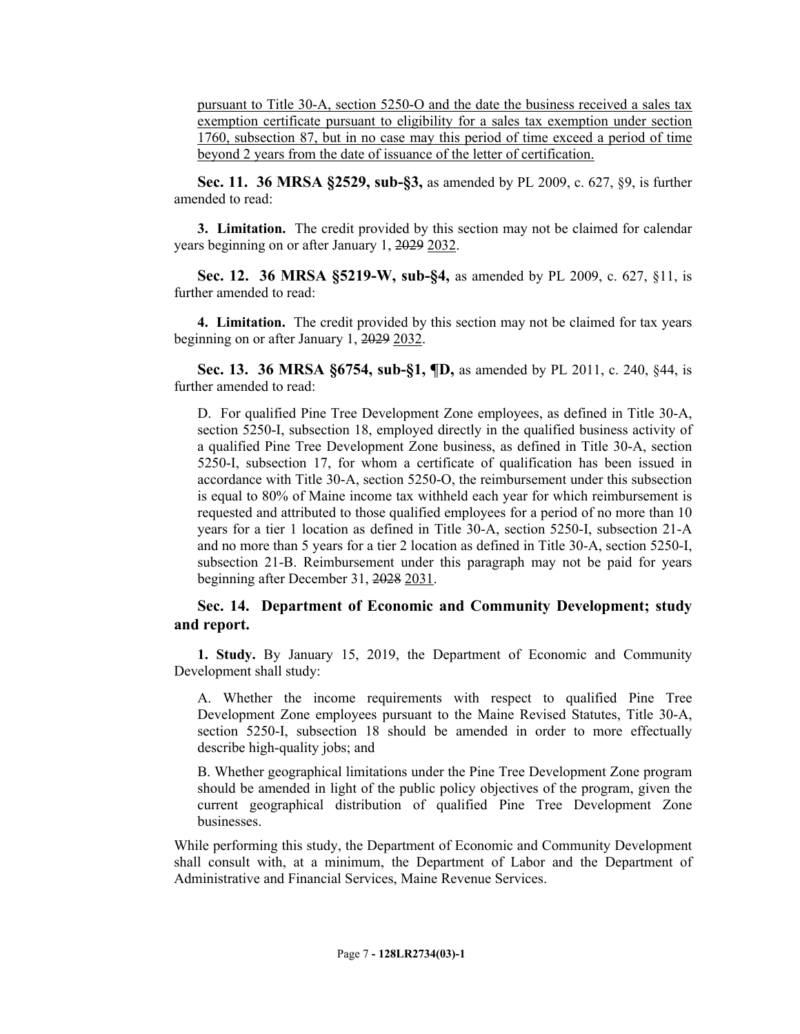pursuant to Title 30-A, section 5250-O and the date the business received a sales tax exemption certificate pursuant to eligibility for a sales tax exemption under section 1760, subsection 87, but in no case may this period of time exceed a period of time beyond 2 years from the date of issuance of the letter of certification.

**Sec. 11. 36 MRSA §2529, sub-§3,** as amended by PL 2009, c. 627, §9, is further amended to read:

**3. Limitation.** The credit provided by this section may not be claimed for calendar years beginning on or after January 1, 2029 2032.

**Sec. 12. 36 MRSA §5219-W, sub-§4,** as amended by PL 2009, c. 627, §11, is further amended to read:

**4. Limitation.** The credit provided by this section may not be claimed for tax years beginning on or after January 1, 2029 2032.

**Sec. 13. 36 MRSA §6754, sub-§1, ¶D,** as amended by PL 2011, c. 240, §44, is further amended to read:

D. For qualified Pine Tree Development Zone employees, as defined in Title 30-A, section 5250-I, subsection 18, employed directly in the qualified business activity of a qualified Pine Tree Development Zone business, as defined in Title 30-A, section 5250-I, subsection 17, for whom a certificate of qualification has been issued in accordance with Title 30-A, section 5250-O, the reimbursement under this subsection is equal to 80% of Maine income tax withheld each year for which reimbursement is requested and attributed to those qualified employees for a period of no more than 10 years for a tier 1 location as defined in Title 30-A, section 5250-I, subsection 21-A and no more than 5 years for a tier 2 location as defined in Title 30-A, section 5250-I, subsection 21-B. Reimbursement under this paragraph may not be paid for years beginning after December 31, 2028 2031.

## **Sec. 14. Department of Economic and Community Development; study and report.**

**1. Study.** By January 15, 2019, the Department of Economic and Community Development shall study:

A. Whether the income requirements with respect to qualified Pine Tree Development Zone employees pursuant to the Maine Revised Statutes, Title 30-A, section 5250-I, subsection 18 should be amended in order to more effectually describe high-quality jobs; and

B. Whether geographical limitations under the Pine Tree Development Zone program should be amended in light of the public policy objectives of the program, given the current geographical distribution of qualified Pine Tree Development Zone businesses.

While performing this study, the Department of Economic and Community Development shall consult with, at a minimum, the Department of Labor and the Department of Administrative and Financial Services, Maine Revenue Services.